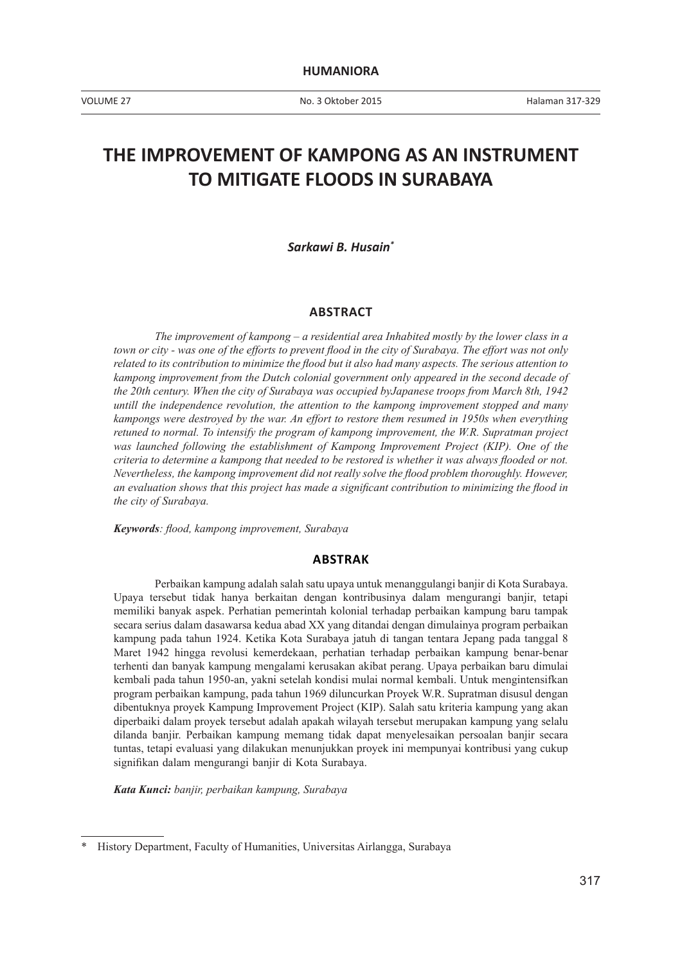VOLUME 27 No. 3 Oktober 2015

# **THE IMPROVEMENT OF KAMPONG AS AN INSTRUMENT TO MITIGATE FLOODS IN SURABAYA**

*Sarkawi B. Husain\**

### **ABSTRACT**

*The improvement of kampong – a residential area Inhabited mostly by the lower class in a town or city - was one of the efforts to prevent flood in the city of Surabaya. The effort was not only related to its contribution to minimize the flood but it also had many aspects. The serious attention to kampong improvement from the Dutch colonial government only appeared in the second decade of the 20th century. When the city of Surabaya was occupied byJapanese troops from March 8th, 1942 untill the independence revolution, the attention to the kampong improvement stopped and many kampongs were destroyed by the war. An effort to restore them resumed in 1950s when everything retuned to normal. To intensify the program of kampong improvement, the W.R. Supratman project was launched following the establishment of Kampong Improvement Project (KIP). One of the criteria to determine a kampong that needed to be restored is whether it was always flooded or not. Nevertheless, the kampong improvement did not really solve the flood problem thoroughly. However, an evaluation shows that this project has made a significant contribution to minimizing the flood in the city of Surabaya.*

*Keywords: flood, kampong improvement, Surabaya*

## **ABSTRAK**

Perbaikan kampung adalah salah satu upaya untuk menanggulangi banjir di Kota Surabaya. Upaya tersebut tidak hanya berkaitan dengan kontribusinya dalam mengurangi banjir, tetapi memiliki banyak aspek. Perhatian pemerintah kolonial terhadap perbaikan kampung baru tampak secara serius dalam dasawarsa kedua abad XX yang ditandai dengan dimulainya program perbaikan kampung pada tahun 1924. Ketika Kota Surabaya jatuh di tangan tentara Jepang pada tanggal 8 Maret 1942 hingga revolusi kemerdekaan, perhatian terhadap perbaikan kampung benar-benar terhenti dan banyak kampung mengalami kerusakan akibat perang. Upaya perbaikan baru dimulai kembali pada tahun 1950-an, yakni setelah kondisi mulai normal kembali. Untuk mengintensifkan program perbaikan kampung, pada tahun 1969 diluncurkan Proyek W.R. Supratman disusul dengan dibentuknya proyek Kampung Improvement Project (KIP). Salah satu kriteria kampung yang akan diperbaiki dalam proyek tersebut adalah apakah wilayah tersebut merupakan kampung yang selalu dilanda banjir. Perbaikan kampung memang tidak dapat menyelesaikan persoalan banjir secara tuntas, tetapi evaluasi yang dilakukan menunjukkan proyek ini mempunyai kontribusi yang cukup signifikan dalam mengurangi banjir di Kota Surabaya.

*Kata Kunci: banjir, perbaikan kampung, Surabaya*

<sup>\*</sup> History Department, Faculty of Humanities, Universitas Airlangga, Surabaya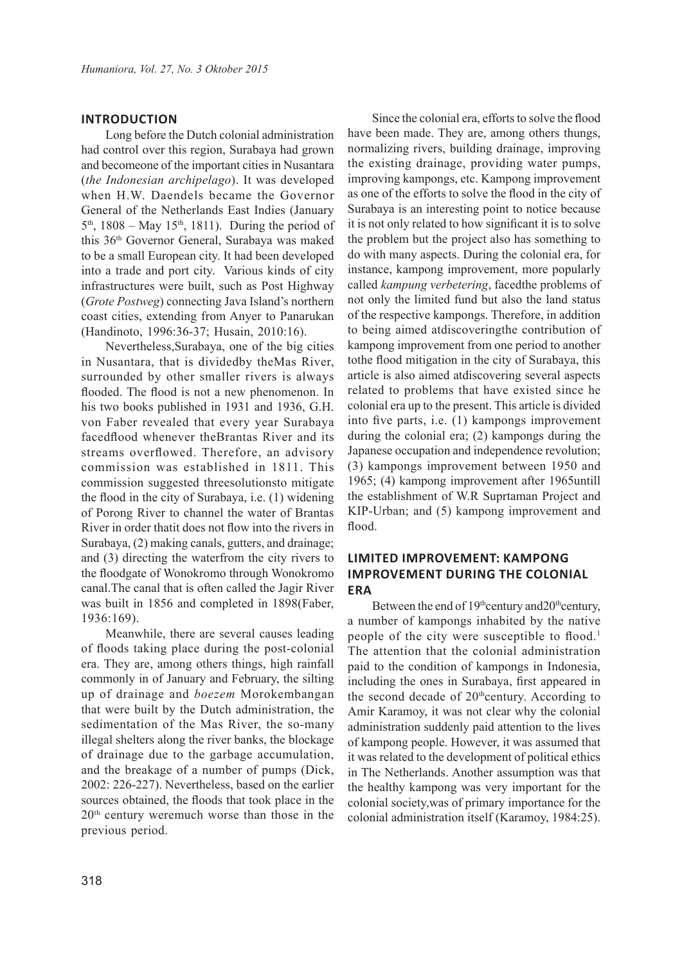# **INTRODUCTION**

Long before the Dutch colonial administration had control over this region, Surabaya had grown and becomeone of the important cities in Nusantara (*the Indonesian archipelago*). It was developed when H.W. Daendels became the Governor General of the Netherlands East Indies (January  $5<sup>th</sup>$ , 1808 – May 15<sup>th</sup>, 1811). During the period of this 36th Governor General, Surabaya was maked to be a small European city. It had been developed into a trade and port city. Various kinds of city infrastructures were built, such as Post Highway (*Grote Postweg*) connecting Java Island's northern coast cities, extending from Anyer to Panarukan (Handinoto, 1996:36-37; Husain, 2010:16).

Nevertheless,Surabaya, one of the big cities in Nusantara, that is dividedby theMas River, surrounded by other smaller rivers is always flooded. The flood is not a new phenomenon. In his two books published in 1931 and 1936, G.H. von Faber revealed that every year Surabaya facedflood whenever theBrantas River and its streams overflowed. Therefore, an advisory commission was established in 1811. This commission suggested threesolutionsto mitigate the flood in the city of Surabaya, i.e. (1) widening of Porong River to channel the water of Brantas River in order thatit does not flow into the rivers in Surabaya, (2) making canals, gutters, and drainage; and (3) directing the waterfrom the city rivers to the floodgate of Wonokromo through Wonokromo canal.The canal that is often called the Jagir River was built in 1856 and completed in 1898(Faber, 1936:169).

Meanwhile, there are several causes leading of floods taking place during the post-colonial era. They are, among others things, high rainfall commonly in of January and February, the silting up of drainage and *boezem* Morokembangan that were built by the Dutch administration, the sedimentation of the Mas River, the so-many illegal shelters along the river banks, the blockage of drainage due to the garbage accumulation, and the breakage of a number of pumps (Dick, 2002: 226-227). Nevertheless, based on the earlier sources obtained, the floods that took place in the 20th century weremuch worse than those in the previous period.

Since the colonial era, efforts to solve the flood have been made. They are, among others thungs, normalizing rivers, building drainage, improving the existing drainage, providing water pumps, improving kampongs, etc. Kampong improvement as one of the efforts to solve the flood in the city of Surabaya is an interesting point to notice because it is not only related to how significant it is to solve the problem but the project also has something to do with many aspects. During the colonial era, for instance, kampong improvement, more popularly called *kampung verbetering*, facedthe problems of not only the limited fund but also the land status of the respective kampongs. Therefore, in addition to being aimed atdiscoveringthe contribution of kampong improvement from one period to another tothe flood mitigation in the city of Surabaya, this article is also aimed atdiscovering several aspects related to problems that have existed since he colonial era up to the present. This article is divided into five parts, i.e. (1) kampongs improvement during the colonial era; (2) kampongs during the Japanese occupation and independence revolution; (3) kampongs improvement between 1950 and 1965; (4) kampong improvement after 1965untill the establishment of W.R Suprtaman Project and KIP-Urban; and (5) kampong improvement and flood.

# **LIMITED IMPROVEMENT: KAMPONG IMPROVEMENT DURING THE COLONIAL ERA**

Between the end of 19<sup>th</sup>century and20<sup>th</sup>century, a number of kampongs inhabited by the native people of the city were susceptible to flood.<sup>1</sup> The attention that the colonial administration paid to the condition of kampongs in Indonesia, including the ones in Surabaya, first appeared in the second decade of  $20^{\text{th}}$ century. According to Amir Karamoy, it was not clear why the colonial administration suddenly paid attention to the lives of kampong people. However, it was assumed that it was related to the development of political ethics in The Netherlands. Another assumption was that the healthy kampong was very important for the colonial society,was of primary importance for the colonial administration itself (Karamoy, 1984:25).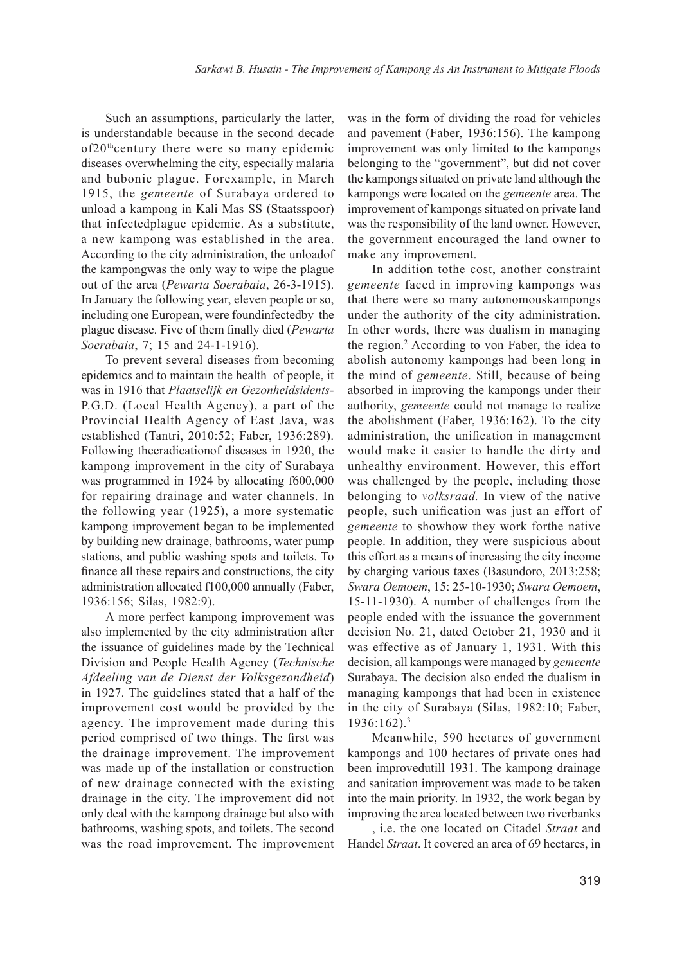Such an assumptions, particularly the latter, is understandable because in the second decade of20thcentury there were so many epidemic diseases overwhelming the city, especially malaria and bubonic plague. Forexample, in March 1915, the *gemeente* of Surabaya ordered to unload a kampong in Kali Mas SS (Staatsspoor) that infectedplague epidemic. As a substitute, a new kampong was established in the area. According to the city administration, the unloadof the kampongwas the only way to wipe the plague out of the area (*Pewarta Soerabaia*, 26-3-1915). In January the following year, eleven people or so, including one European, were foundinfectedby the plague disease. Five of them finally died (*Pewarta Soerabaia*, 7; 15 and 24-1-1916).

To prevent several diseases from becoming epidemics and to maintain the health of people, it was in 1916 that *Plaatselijk en Gezonheidsidents*-P.G.D. (Local Health Agency), a part of the Provincial Health Agency of East Java, was established (Tantri, 2010:52; Faber, 1936:289). Following theeradicationof diseases in 1920, the kampong improvement in the city of Surabaya was programmed in 1924 by allocating f600,000 for repairing drainage and water channels. In the following year (1925), a more systematic kampong improvement began to be implemented by building new drainage, bathrooms, water pump stations, and public washing spots and toilets. To finance all these repairs and constructions, the city administration allocated f100,000 annually (Faber, 1936:156; Silas, 1982:9).

A more perfect kampong improvement was also implemented by the city administration after the issuance of guidelines made by the Technical Division and People Health Agency (*Technische Afdeeling van de Dienst der Volksgezondheid*) in 1927. The guidelines stated that a half of the improvement cost would be provided by the agency. The improvement made during this period comprised of two things. The first was the drainage improvement. The improvement was made up of the installation or construction of new drainage connected with the existing drainage in the city. The improvement did not only deal with the kampong drainage but also with bathrooms, washing spots, and toilets. The second was the road improvement. The improvement

was in the form of dividing the road for vehicles and pavement (Faber, 1936:156). The kampong improvement was only limited to the kampongs belonging to the "government", but did not cover the kampongs situated on private land although the kampongs were located on the *gemeente* area. The improvement of kampongs situated on private land was the responsibility of the land owner. However, the government encouraged the land owner to make any improvement.

In addition tothe cost, another constraint *gemeente* faced in improving kampongs was that there were so many autonomouskampongs under the authority of the city administration. In other words, there was dualism in managing the region.<sup>2</sup> According to von Faber, the idea to abolish autonomy kampongs had been long in the mind of *gemeente*. Still, because of being absorbed in improving the kampongs under their authority, *gemeente* could not manage to realize the abolishment (Faber, 1936:162). To the city administration, the unification in management would make it easier to handle the dirty and unhealthy environment. However, this effort was challenged by the people, including those belonging to *volksraad.* In view of the native people, such unification was just an effort of *gemeente* to showhow they work forthe native people. In addition, they were suspicious about this effort as a means of increasing the city income by charging various taxes (Basundoro, 2013:258; *Swara Oemoem*, 15: 25-10-1930; *Swara Oemoem*, 15-11-1930). A number of challenges from the people ended with the issuance the government decision No. 21, dated October 21, 1930 and it was effective as of January 1, 1931. With this decision, all kampongs were managed by *gemeente* Surabaya. The decision also ended the dualism in managing kampongs that had been in existence in the city of Surabaya (Silas, 1982:10; Faber,  $1936:162$ )<sup>3</sup>

Meanwhile, 590 hectares of government kampongs and 100 hectares of private ones had been improvedutill 1931. The kampong drainage and sanitation improvement was made to be taken into the main priority. In 1932, the work began by improving the area located between two riverbanks

, i.e. the one located on Citadel *Straat* and Handel *Straat*. It covered an area of 69 hectares, in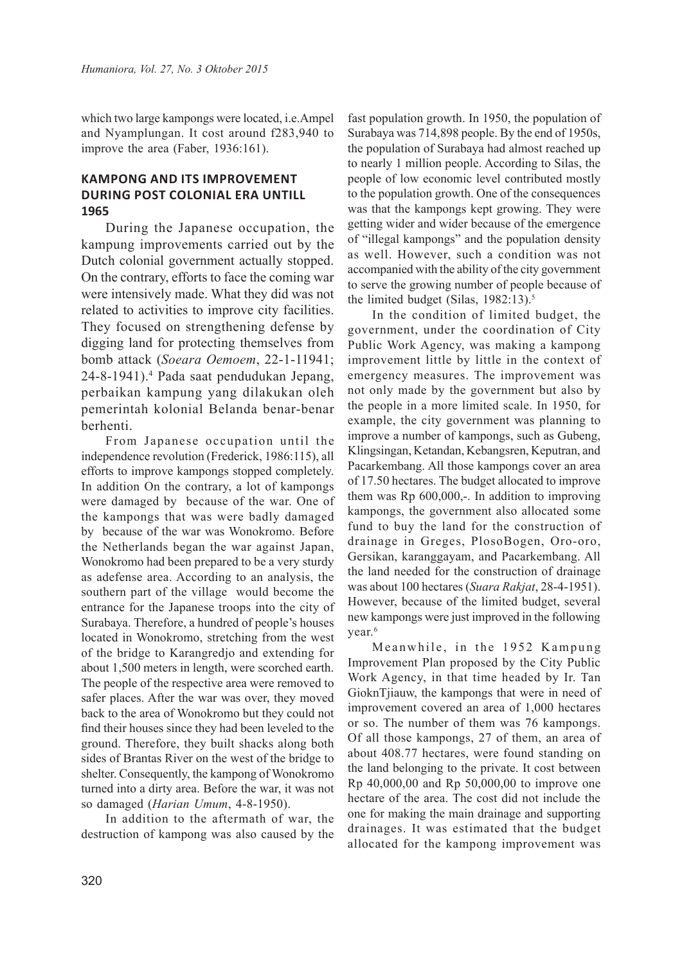which two large kampongs were located, i.e.Ampel and Nyamplungan. It cost around f283,940 to improve the area (Faber, 1936:161).

# **KAMPONG AND ITS IMPROVEMENT DURING POST COLONIAL ERA UNTILL 1965**

During the Japanese occupation, the kampung improvements carried out by the Dutch colonial government actually stopped. On the contrary, efforts to face the coming war were intensively made. What they did was not related to activities to improve city facilities. They focused on strengthening defense by digging land for protecting themselves from bomb attack (*Soeara Oemoem*, 22-1-11941; 24-8-1941).<sup>4</sup> Pada saat pendudukan Jepang, perbaikan kampung yang dilakukan oleh pemerintah kolonial Belanda benar-benar berhenti.

From Japanese occupation until the independence revolution (Frederick, 1986:115), all efforts to improve kampongs stopped completely. In addition On the contrary, a lot of kampongs were damaged by because of the war. One of the kampongs that was were badly damaged by because of the war was Wonokromo. Before the Netherlands began the war against Japan, Wonokromo had been prepared to be a very sturdy as adefense area. According to an analysis, the southern part of the village would become the entrance for the Japanese troops into the city of Surabaya. Therefore, a hundred of people's houses located in Wonokromo, stretching from the west of the bridge to Karangredjo and extending for about 1,500 meters in length, were scorched earth. The people of the respective area were removed to safer places. After the war was over, they moved back to the area of Wonokromo but they could not find their houses since they had been leveled to the ground. Therefore, they built shacks along both sides of Brantas River on the west of the bridge to shelter. Consequently, the kampong of Wonokromo turned into a dirty area. Before the war, it was not so damaged (*Harian Umum*, 4-8-1950).

In addition to the aftermath of war, the destruction of kampong was also caused by the fast population growth. In 1950, the population of Surabaya was 714,898 people. By the end of 1950s, the population of Surabaya had almost reached up to nearly 1 million people. According to Silas, the people of low economic level contributed mostly to the population growth. One of the consequences was that the kampongs kept growing. They were getting wider and wider because of the emergence of "illegal kampongs" and the population density as well. However, such a condition was not accompanied with the ability of the city government to serve the growing number of people because of the limited budget (Silas,  $1982:13$ ).<sup>5</sup>

In the condition of limited budget, the government, under the coordination of City Public Work Agency, was making a kampong improvement little by little in the context of emergency measures. The improvement was not only made by the government but also by the people in a more limited scale. In 1950, for example, the city government was planning to improve a number of kampongs, such as Gubeng, Klingsingan, Ketandan, Kebangsren, Keputran, and Pacarkembang. All those kampongs cover an area of 17.50 hectares. The budget allocated to improve them was Rp 600,000,-. In addition to improving kampongs, the government also allocated some fund to buy the land for the construction of drainage in Greges, PlosoBogen, Oro-oro, Gersikan, karanggayam, and Pacarkembang. All the land needed for the construction of drainage was about 100 hectares (*Suara Rakjat*, 28-4-1951). However, because of the limited budget, several new kampongs were just improved in the following year.<sup>6</sup>

Meanwhile, in the 1952 Kampung Improvement Plan proposed by the City Public Work Agency, in that time headed by Ir. Tan GioknTjiauw, the kampongs that were in need of improvement covered an area of 1,000 hectares or so. The number of them was 76 kampongs. Of all those kampongs, 27 of them, an area of about 408.77 hectares, were found standing on the land belonging to the private. It cost between Rp 40,000,00 and Rp 50,000,00 to improve one hectare of the area. The cost did not include the one for making the main drainage and supporting drainages. It was estimated that the budget allocated for the kampong improvement was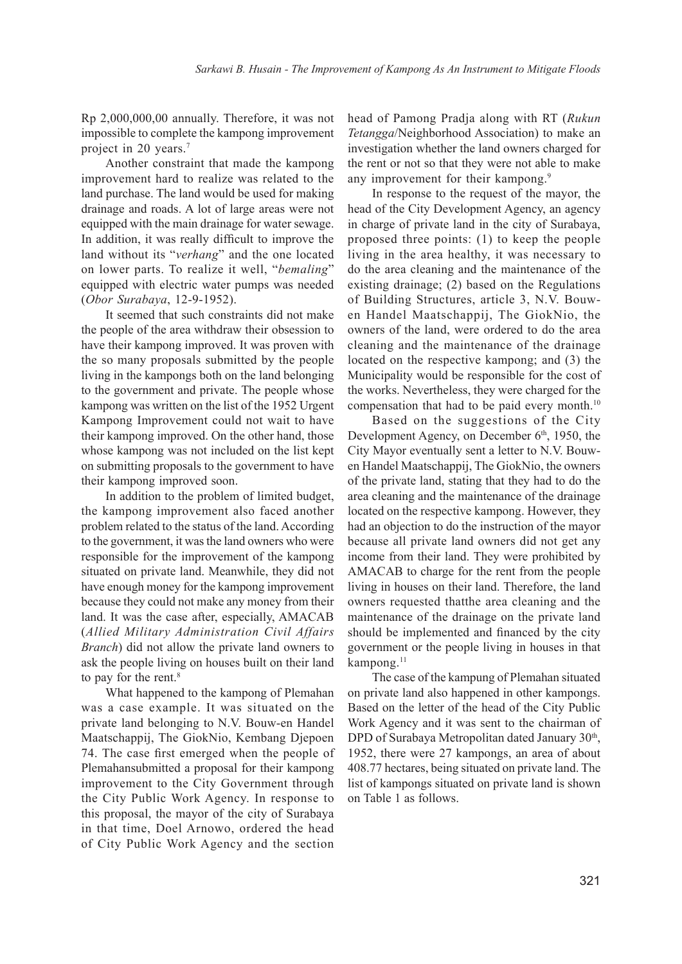Rp 2,000,000,00 annually. Therefore, it was not impossible to complete the kampong improvement project in 20 years.<sup>7</sup>

Another constraint that made the kampong improvement hard to realize was related to the land purchase. The land would be used for making drainage and roads. A lot of large areas were not equipped with the main drainage for water sewage. In addition, it was really difficult to improve the land without its "*verhang*" and the one located on lower parts. To realize it well, "*bemaling*" equipped with electric water pumps was needed (*Obor Surabaya*, 12-9-1952).

It seemed that such constraints did not make the people of the area withdraw their obsession to have their kampong improved. It was proven with the so many proposals submitted by the people living in the kampongs both on the land belonging to the government and private. The people whose kampong was written on the list of the 1952 Urgent Kampong Improvement could not wait to have their kampong improved. On the other hand, those whose kampong was not included on the list kept on submitting proposals to the government to have their kampong improved soon.

In addition to the problem of limited budget, the kampong improvement also faced another problem related to the status of the land. According to the government, it was the land owners who were responsible for the improvement of the kampong situated on private land. Meanwhile, they did not have enough money for the kampong improvement because they could not make any money from their land. It was the case after, especially, AMACAB (*Allied Military Administration Civil Affairs Branch*) did not allow the private land owners to ask the people living on houses built on their land to pay for the rent.<sup>8</sup>

What happened to the kampong of Plemahan was a case example. It was situated on the private land belonging to N.V. Bouw-en Handel Maatschappij, The GiokNio, Kembang Djepoen 74. The case first emerged when the people of Plemahansubmitted a proposal for their kampong improvement to the City Government through the City Public Work Agency. In response to this proposal, the mayor of the city of Surabaya in that time, Doel Arnowo, ordered the head of City Public Work Agency and the section

head of Pamong Pradja along with RT (*Rukun Tetangga*/Neighborhood Association) to make an investigation whether the land owners charged for the rent or not so that they were not able to make any improvement for their kampong.<sup>9</sup>

In response to the request of the mayor, the head of the City Development Agency, an agency in charge of private land in the city of Surabaya, proposed three points: (1) to keep the people living in the area healthy, it was necessary to do the area cleaning and the maintenance of the existing drainage; (2) based on the Regulations of Building Structures, article 3, N.V. Bouwen Handel Maatschappij, The GiokNio, the owners of the land, were ordered to do the area cleaning and the maintenance of the drainage located on the respective kampong; and (3) the Municipality would be responsible for the cost of the works. Nevertheless, they were charged for the compensation that had to be paid every month.<sup>10</sup>

Based on the suggestions of the City Development Agency, on December  $6<sup>th</sup>$ , 1950, the City Mayor eventually sent a letter to N.V. Bouwen Handel Maatschappij, The GiokNio, the owners of the private land, stating that they had to do the area cleaning and the maintenance of the drainage located on the respective kampong. However, they had an objection to do the instruction of the mayor because all private land owners did not get any income from their land. They were prohibited by AMACAB to charge for the rent from the people living in houses on their land. Therefore, the land owners requested thatthe area cleaning and the maintenance of the drainage on the private land should be implemented and financed by the city government or the people living in houses in that kampong.<sup>11</sup>

The case of the kampung of Plemahan situated on private land also happened in other kampongs. Based on the letter of the head of the City Public Work Agency and it was sent to the chairman of DPD of Surabaya Metropolitan dated January 30<sup>th</sup>, 1952, there were 27 kampongs, an area of about 408.77 hectares, being situated on private land. The list of kampongs situated on private land is shown on Table 1 as follows.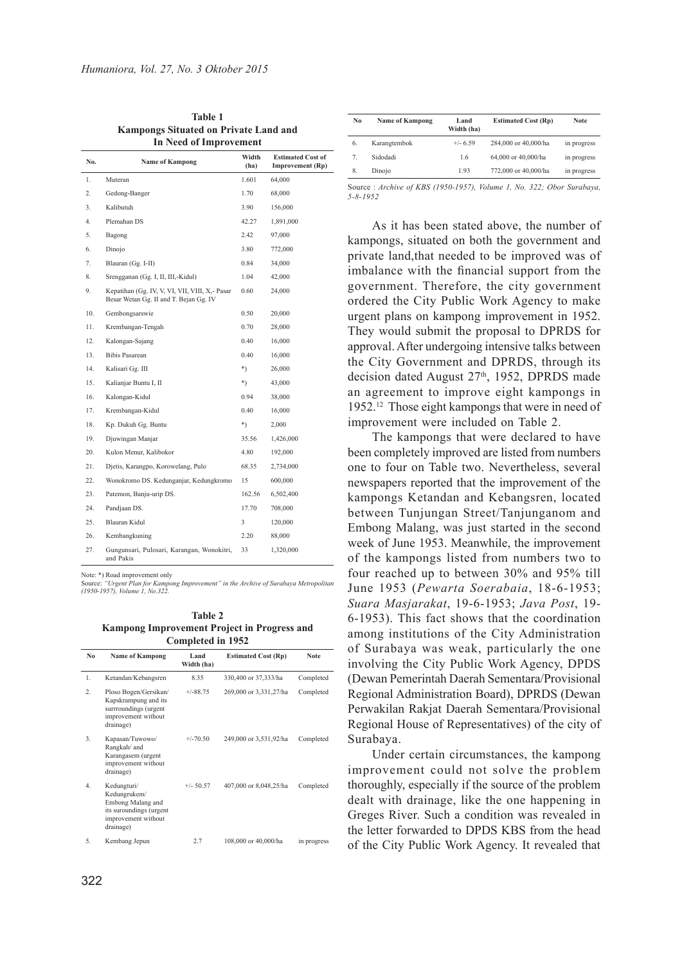| <b>In Need of Improvement</b> |                                                                                           |               |                                                     |  |  |
|-------------------------------|-------------------------------------------------------------------------------------------|---------------|-----------------------------------------------------|--|--|
| No.                           | <b>Name of Kampong</b>                                                                    | Width<br>(ha) | <b>Estimated Cost of</b><br><b>Improvement</b> (Rp) |  |  |
| 1.                            | Muteran                                                                                   | 1.601         | 64,000                                              |  |  |
| $\overline{2}$ .              | Gedong-Banger                                                                             | 1.70          | 68,000                                              |  |  |
| 3.                            | Kalibutuh                                                                                 | 3.90          | 156,000                                             |  |  |
| 4.                            | Plemahan DS                                                                               | 42.27         | 1,891,000                                           |  |  |
| 5.                            | Bagong                                                                                    | 2.42          | 97,000                                              |  |  |
| 6.                            | Dinojo                                                                                    | 3.80          | 772,000                                             |  |  |
| 7.                            | Blauran (Gg. I-II)                                                                        | 0.84          | 34,000                                              |  |  |
| 8.                            | Srengganan (Gg. I, II, III,-Kidul)                                                        | 1.04          | 42,000                                              |  |  |
| 9.                            | Kepatihan (Gg. IV, V, VI, VII, VIII, X, - Pasar<br>Besar Wetan Gg. II and T. Bejan Gg. IV | 0.60          | 24,000                                              |  |  |
| 10.                           | Gembongsarswie                                                                            | 0.50          | 20,000                                              |  |  |
| 11.                           | Krembangan-Tengah                                                                         | 0.70          | 28,000                                              |  |  |
| 12.                           | Kalongan-Sajang                                                                           | 0.40          | 16,000                                              |  |  |
| 13.                           | <b>Bibis Pasarean</b>                                                                     | 040           | 16,000                                              |  |  |
| 14.                           | Kalisari Gg. III                                                                          | $^*)$         | 26,000                                              |  |  |
| 15.                           | Kalianjar Buntu I, II                                                                     | $*$           | 43,000                                              |  |  |
| 16.                           | Kalongan-Kidul                                                                            | 0.94          | 38,000                                              |  |  |
| 17.                           | Krembangan-Kidul                                                                          | 0.40          | 16,000                                              |  |  |
| 18.                           | Kp. Dukuh Gg. Buntu                                                                       | $^*)$         | 2,000                                               |  |  |
| 19.                           | Djuwingan Manjar                                                                          | 35.56         | 1,426,000                                           |  |  |
| 20.                           | Kulon Menur, Kalibokor                                                                    | 4.80          | 192,000                                             |  |  |
| 21.                           | Dietis, Karangpo, Korowelang, Pulo                                                        | 68.35         | 2,734,000                                           |  |  |
| 22.                           | Wonokromo DS. Kedunganjar, Kedungkromo                                                    | 15            | 600,000                                             |  |  |
| 23.                           | Patemon, Banju-urip DS.                                                                   | 162.56        | 6,502,400                                           |  |  |
| 24.                           | Pandjaan DS.                                                                              | 17.70         | 708,000                                             |  |  |
| 25.                           | Blauran Kidul                                                                             | 3             | 120,000                                             |  |  |
| 26.                           | Kembangkuning                                                                             | 2.20          | 88,000                                              |  |  |
| 27.                           | Gungunsari, Pulosari, Karangan, Wonokitri,<br>and Pakis                                   | 33            | 1,320,000                                           |  |  |

**Table 1 Kampongs Situated on Private Land and** 

Note: \*) Road improvement only

Source: *"Urgent Plan for Kampong Improvement" in the Archive of Surabaya Metropolitan (1950-1957), Volume 1, No.322.*

**Table 2 Kampong Improvement Project in Progress and Completed in 1952**

| No. | <b>Name of Kampong</b>                                                                                          | Land<br>Width (ha) | <b>Estimated Cost (Rp)</b> | <b>Note</b> |
|-----|-----------------------------------------------------------------------------------------------------------------|--------------------|----------------------------|-------------|
| 1.  | Ketandan/Kebangsren                                                                                             | 8.35               | 330,400 or 37,333/ha       | Completed   |
| 2.  | Ploso Bogen/Gersikan/<br>Kapskrampung and its<br>surrroundings (urgent<br>improvement without<br>drainage)      | $+/-88.75$         | 269,000 or 3,331,27/ha     | Completed   |
| 3.  | Kapasan/Tuwowo/<br>Rangkah/ and<br>Karangasem (urgent<br>improvement without<br>drainage)                       | $+/-70.50$         | 249,000 or 3,531,92/ha     | Completed   |
| 4.  | Kedungturi/<br>Kedungrukem/<br>Embong Malang and<br>its suroundings (urgent<br>improvement without<br>drainage) | $+/-$ 50.57        | 407,000 or 8,048,25/ha     | Completed   |
| 5.  | Kembang Jepun                                                                                                   | 2.7                | 108,000 or 40,000/ha       | in progress |

| No | <b>Name of Kampong</b> | Land<br>Width (ha) | <b>Estimated Cost (Rp)</b> | <b>Note</b> |
|----|------------------------|--------------------|----------------------------|-------------|
| 6. | Karangtembok           | $+/- 6.59$         | 284,000 or 40,000/ha       | in progress |
| 7. | Sidodadi               | 1.6                | 64,000 or 40,000/ha        | in progress |
| 8. | Dinojo                 | 193                | 772,000 or 40,000/ha       | in progress |
|    |                        |                    |                            |             |

Source : *Archive of KBS (1950-1957), Volume 1, No. 322; Obor Surabaya, 5-8-1952*

As it has been stated above, the number of kampongs, situated on both the government and private land,that needed to be improved was of imbalance with the financial support from the government. Therefore, the city government ordered the City Public Work Agency to make urgent plans on kampong improvement in 1952. They would submit the proposal to DPRDS for approval. After undergoing intensive talks between the City Government and DPRDS, through its decision dated August 27<sup>th</sup>, 1952, DPRDS made an agreement to improve eight kampongs in 1952.<sup>12</sup> Those eight kampongs that were in need of improvement were included on Table 2.

The kampongs that were declared to have been completely improved are listed from numbers one to four on Table two. Nevertheless, several newspapers reported that the improvement of the kampongs Ketandan and Kebangsren, located between Tunjungan Street/Tanjunganom and Embong Malang, was just started in the second week of June 1953. Meanwhile, the improvement of the kampongs listed from numbers two to four reached up to between 30% and 95% till June 1953 (*Pewarta Soerabaia*, 18-6-1953; *Suara Masjarakat*, 19-6-1953; *Java Post*, 19- 6-1953). This fact shows that the coordination among institutions of the City Administration of Surabaya was weak, particularly the one involving the City Public Work Agency, DPDS (Dewan Pemerintah Daerah Sementara/Provisional Regional Administration Board), DPRDS (Dewan Perwakilan Rakjat Daerah Sementara/Provisional Regional House of Representatives) of the city of Surabaya.

Under certain circumstances, the kampong improvement could not solve the problem thoroughly, especially if the source of the problem dealt with drainage, like the one happening in Greges River. Such a condition was revealed in the letter forwarded to DPDS KBS from the head of the City Public Work Agency. It revealed that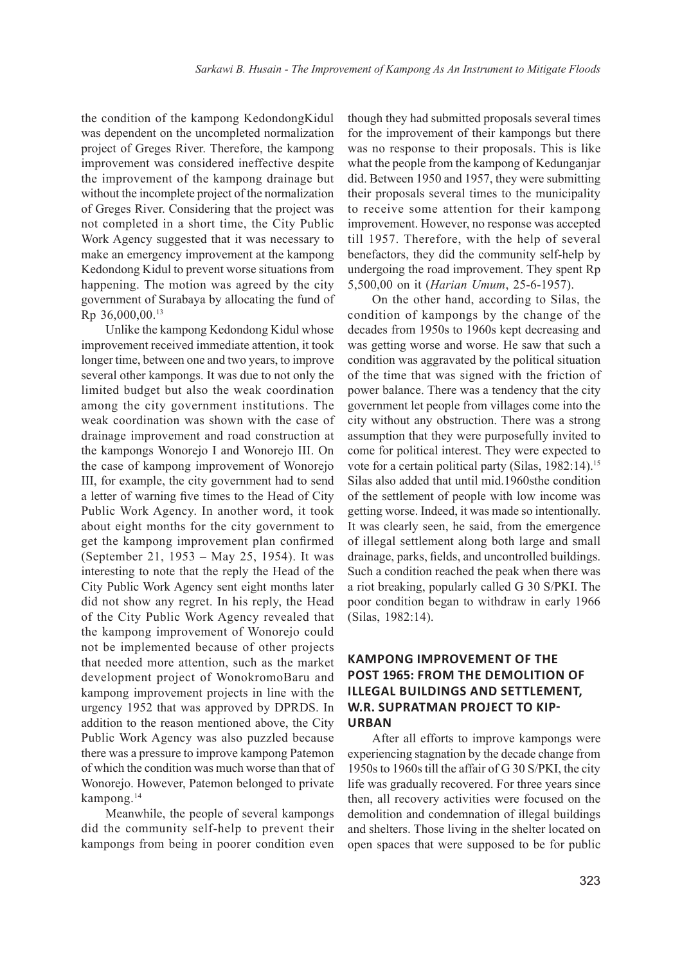the condition of the kampong KedondongKidul was dependent on the uncompleted normalization project of Greges River. Therefore, the kampong improvement was considered ineffective despite the improvement of the kampong drainage but without the incomplete project of the normalization of Greges River. Considering that the project was not completed in a short time, the City Public Work Agency suggested that it was necessary to make an emergency improvement at the kampong Kedondong Kidul to prevent worse situations from happening. The motion was agreed by the city government of Surabaya by allocating the fund of Rp 36,000,00.<sup>13</sup>

Unlike the kampong Kedondong Kidul whose improvement received immediate attention, it took longer time, between one and two years, to improve several other kampongs. It was due to not only the limited budget but also the weak coordination among the city government institutions. The weak coordination was shown with the case of drainage improvement and road construction at the kampongs Wonorejo I and Wonorejo III. On the case of kampong improvement of Wonorejo III, for example, the city government had to send a letter of warning five times to the Head of City Public Work Agency. In another word, it took about eight months for the city government to get the kampong improvement plan confirmed (September 21, 1953 – May 25, 1954). It was interesting to note that the reply the Head of the City Public Work Agency sent eight months later did not show any regret. In his reply, the Head of the City Public Work Agency revealed that the kampong improvement of Wonorejo could not be implemented because of other projects that needed more attention, such as the market development project of WonokromoBaru and kampong improvement projects in line with the urgency 1952 that was approved by DPRDS. In addition to the reason mentioned above, the City Public Work Agency was also puzzled because there was a pressure to improve kampong Patemon of which the condition was much worse than that of Wonorejo. However, Patemon belonged to private kampong.<sup>14</sup>

Meanwhile, the people of several kampongs did the community self-help to prevent their kampongs from being in poorer condition even

though they had submitted proposals several times for the improvement of their kampongs but there was no response to their proposals. This is like what the people from the kampong of Kedunganjar did. Between 1950 and 1957, they were submitting their proposals several times to the municipality to receive some attention for their kampong improvement. However, no response was accepted till 1957. Therefore, with the help of several benefactors, they did the community self-help by undergoing the road improvement. They spent Rp 5,500,00 on it (*Harian Umum*, 25-6-1957).

On the other hand, according to Silas, the condition of kampongs by the change of the decades from 1950s to 1960s kept decreasing and was getting worse and worse. He saw that such a condition was aggravated by the political situation of the time that was signed with the friction of power balance. There was a tendency that the city government let people from villages come into the city without any obstruction. There was a strong assumption that they were purposefully invited to come for political interest. They were expected to vote for a certain political party (Silas, 1982:14).<sup>15</sup> Silas also added that until mid.1960sthe condition of the settlement of people with low income was getting worse. Indeed, it was made so intentionally. It was clearly seen, he said, from the emergence of illegal settlement along both large and small drainage, parks, fields, and uncontrolled buildings. Such a condition reached the peak when there was a riot breaking, popularly called G 30 S/PKI. The poor condition began to withdraw in early 1966 (Silas, 1982:14).

# **KAMPONG IMPROVEMENT OF THE POST 1965: FROM THE DEMOLITION OF ILLEGAL BUILDINGS AND SETTLEMENT, W.R. SUPRATMAN PROJECT TO KIP-URBAN**

After all efforts to improve kampongs were experiencing stagnation by the decade change from 1950s to 1960s till the affair of G 30 S/PKI, the city life was gradually recovered. For three years since then, all recovery activities were focused on the demolition and condemnation of illegal buildings and shelters. Those living in the shelter located on open spaces that were supposed to be for public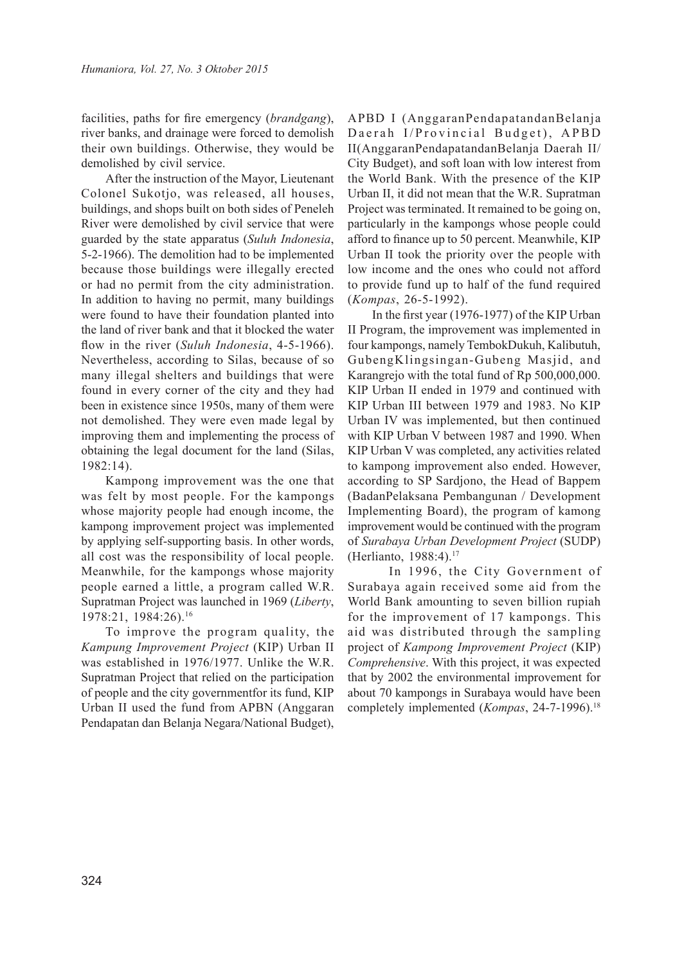facilities, paths for fire emergency (*brandgang*), river banks, and drainage were forced to demolish their own buildings. Otherwise, they would be demolished by civil service.

After the instruction of the Mayor, Lieutenant Colonel Sukotjo, was released, all houses, buildings, and shops built on both sides of Peneleh River were demolished by civil service that were guarded by the state apparatus (*Suluh Indonesia*, 5-2-1966). The demolition had to be implemented because those buildings were illegally erected or had no permit from the city administration. In addition to having no permit, many buildings were found to have their foundation planted into the land of river bank and that it blocked the water flow in the river (*Suluh Indonesia*, 4-5-1966). Nevertheless, according to Silas, because of so many illegal shelters and buildings that were found in every corner of the city and they had been in existence since 1950s, many of them were not demolished. They were even made legal by improving them and implementing the process of obtaining the legal document for the land (Silas, 1982:14).

Kampong improvement was the one that was felt by most people. For the kampongs whose majority people had enough income, the kampong improvement project was implemented by applying self-supporting basis. In other words, all cost was the responsibility of local people. Meanwhile, for the kampongs whose majority people earned a little, a program called W.R. Supratman Project was launched in 1969 (*Liberty*, 1978:21, 1984:26).<sup>16</sup>

To improve the program quality, the *Kampung Improvement Project* (KIP) Urban II was established in 1976/1977. Unlike the W.R. Supratman Project that relied on the participation of people and the city governmentfor its fund, KIP Urban II used the fund from APBN (Anggaran Pendapatan dan Belanja Negara/National Budget),

APBD I (AnggaranPendapatandanBelanja Daerah I/Provincial Budget), APBD II(AnggaranPendapatandanBelanja Daerah II/ City Budget), and soft loan with low interest from the World Bank. With the presence of the KIP Urban II, it did not mean that the W.R. Supratman Project was terminated. It remained to be going on, particularly in the kampongs whose people could afford to finance up to 50 percent. Meanwhile, KIP Urban II took the priority over the people with low income and the ones who could not afford to provide fund up to half of the fund required (*Kompas*, 26-5-1992).

In the first year (1976-1977) of the KIP Urban II Program, the improvement was implemented in four kampongs, namely TembokDukuh, Kalibutuh, GubengKlingsingan-Gubeng Masjid, and Karangrejo with the total fund of Rp 500,000,000. KIP Urban II ended in 1979 and continued with KIP Urban III between 1979 and 1983. No KIP Urban IV was implemented, but then continued with KIP Urban V between 1987 and 1990. When KIP Urban V was completed, any activities related to kampong improvement also ended. However, according to SP Sardjono, the Head of Bappem (BadanPelaksana Pembangunan / Development Implementing Board), the program of kamong improvement would be continued with the program of *Surabaya Urban Development Project* (SUDP) (Herlianto, 1988:4).<sup>17</sup>

 In 1996, the City Government of Surabaya again received some aid from the World Bank amounting to seven billion rupiah for the improvement of 17 kampongs. This aid was distributed through the sampling project of *Kampong Improvement Project* (KIP) *Comprehensive*. With this project, it was expected that by 2002 the environmental improvement for about 70 kampongs in Surabaya would have been completely implemented (*Kompas*, 24-7-1996).<sup>18</sup>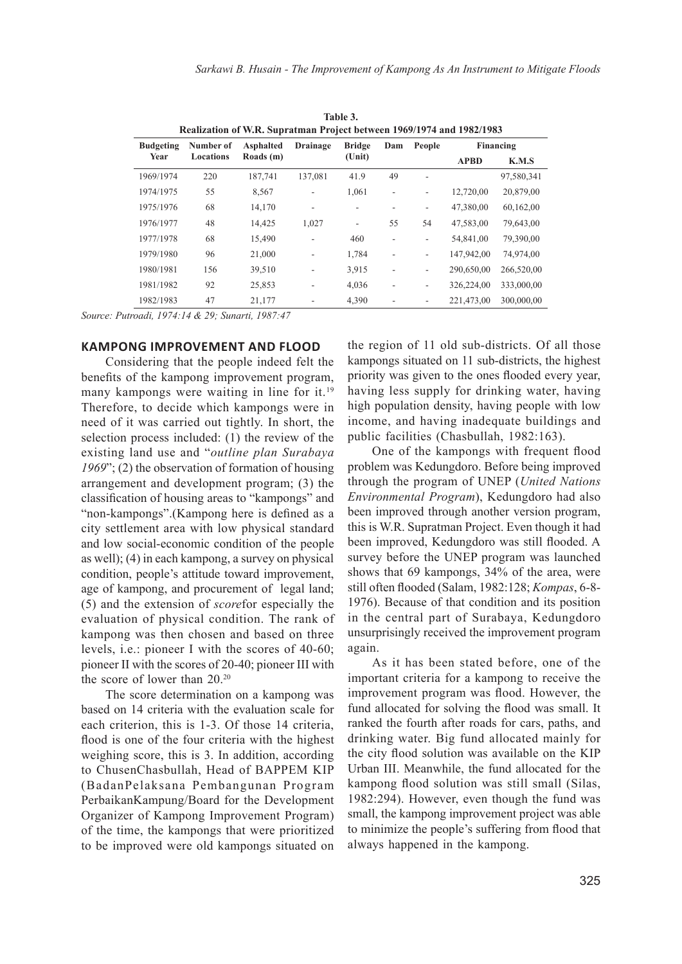| таріе э.<br>Realization of W.R. Supratman Project between 1969/1974 and 1982/1983 |                        |                               |                              |                                  |     |                          |             |            |
|-----------------------------------------------------------------------------------|------------------------|-------------------------------|------------------------------|----------------------------------|-----|--------------------------|-------------|------------|
| <b>Budgeting</b>                                                                  | Number of<br>Locations | <b>Asphalted</b><br>Roads (m) | Drainage                     | <b>Bridge</b><br>$(\text{Unit})$ | Dam | People                   | Financing   |            |
| Year                                                                              |                        |                               |                              |                                  |     |                          | <b>APBD</b> | K.M.S      |
| 1969/1974                                                                         | 220                    | 187,741                       | 137.081                      | 41.9                             | 49  | ۰                        |             | 97,580,341 |
| 1974/1975                                                                         | 55                     | 8,567                         | $\overline{a}$               | 1,061                            | L,  | $\overline{a}$           | 12,720,00   | 20,879,00  |
| 1975/1976                                                                         | 68                     | 14,170                        | $\overline{\phantom{a}}$     | $\overline{a}$                   |     | $\overline{\phantom{0}}$ | 47,380,00   | 60,162,00  |
| 1976/1977                                                                         | 48                     | 14,425                        | 1,027                        | $\overline{a}$                   | 55  | 54                       | 47,583,00   | 79,643,00  |
| 1977/1978                                                                         | 68                     | 15,490                        | $\overline{a}$               | 460                              |     | $\overline{\phantom{0}}$ | 54,841,00   | 79,390,00  |
| 1979/1980                                                                         | 96                     | 21,000                        | ÷                            | 1,784                            |     | $\overline{\phantom{0}}$ | 147,942,00  | 74,974,00  |
| 1980/1981                                                                         | 156                    | 39,510                        | $\overline{a}$               | 3,915                            | ٠   | $\overline{\phantom{0}}$ | 290,650,00  | 266,520,00 |
| 1981/1982                                                                         | 92                     | 25,853                        | $\overline{a}$               | 4,036                            | ٠   | $\overline{\phantom{0}}$ | 326,224,00  | 333,000,00 |
| 1982/1983                                                                         | 47                     | 21,177                        | $\qquad \qquad \blacksquare$ | 4,390                            |     | -                        | 221,473,00  | 300,000,00 |

**Table 3.** 

*Source: Putroadi, 1974:14 & 29; Sunarti, 1987:47*

## **KAMPONG IMPROVEMENT AND FLOOD**

Considering that the people indeed felt the benefits of the kampong improvement program, many kampongs were waiting in line for it.<sup>19</sup> Therefore, to decide which kampongs were in need of it was carried out tightly. In short, the selection process included: (1) the review of the existing land use and "*outline plan Surabaya 1969*"; (2) the observation of formation of housing arrangement and development program; (3) the classification of housing areas to "kampongs" and "non-kampongs".(Kampong here is defined as a city settlement area with low physical standard and low social-economic condition of the people as well); (4) in each kampong, a survey on physical condition, people's attitude toward improvement, age of kampong, and procurement of legal land; (5) and the extension of *score*for especially the evaluation of physical condition. The rank of kampong was then chosen and based on three levels, i.e.: pioneer I with the scores of 40-60; pioneer II with the scores of 20-40; pioneer III with the score of lower than 20.<sup>20</sup>

The score determination on a kampong was based on 14 criteria with the evaluation scale for each criterion, this is 1-3. Of those 14 criteria, flood is one of the four criteria with the highest weighing score, this is 3. In addition, according to ChusenChasbullah, Head of BAPPEM KIP (BadanPelaksana Pembangunan Program PerbaikanKampung/Board for the Development Organizer of Kampong Improvement Program) of the time, the kampongs that were prioritized to be improved were old kampongs situated on

the region of 11 old sub-districts. Of all those kampongs situated on 11 sub-districts, the highest priority was given to the ones flooded every year, having less supply for drinking water, having high population density, having people with low income, and having inadequate buildings and public facilities (Chasbullah, 1982:163).

One of the kampongs with frequent flood problem was Kedungdoro. Before being improved through the program of UNEP (*United Nations Environmental Program*), Kedungdoro had also been improved through another version program, this is W.R. Supratman Project. Even though it had been improved, Kedungdoro was still flooded. A survey before the UNEP program was launched shows that 69 kampongs, 34% of the area, were still often flooded (Salam, 1982:128; *Kompas*, 6-8- 1976). Because of that condition and its position in the central part of Surabaya, Kedungdoro unsurprisingly received the improvement program again.

As it has been stated before, one of the important criteria for a kampong to receive the improvement program was flood. However, the fund allocated for solving the flood was small. It ranked the fourth after roads for cars, paths, and drinking water. Big fund allocated mainly for the city flood solution was available on the KIP Urban III. Meanwhile, the fund allocated for the kampong flood solution was still small (Silas, 1982:294). However, even though the fund was small, the kampong improvement project was able to minimize the people's suffering from flood that always happened in the kampong.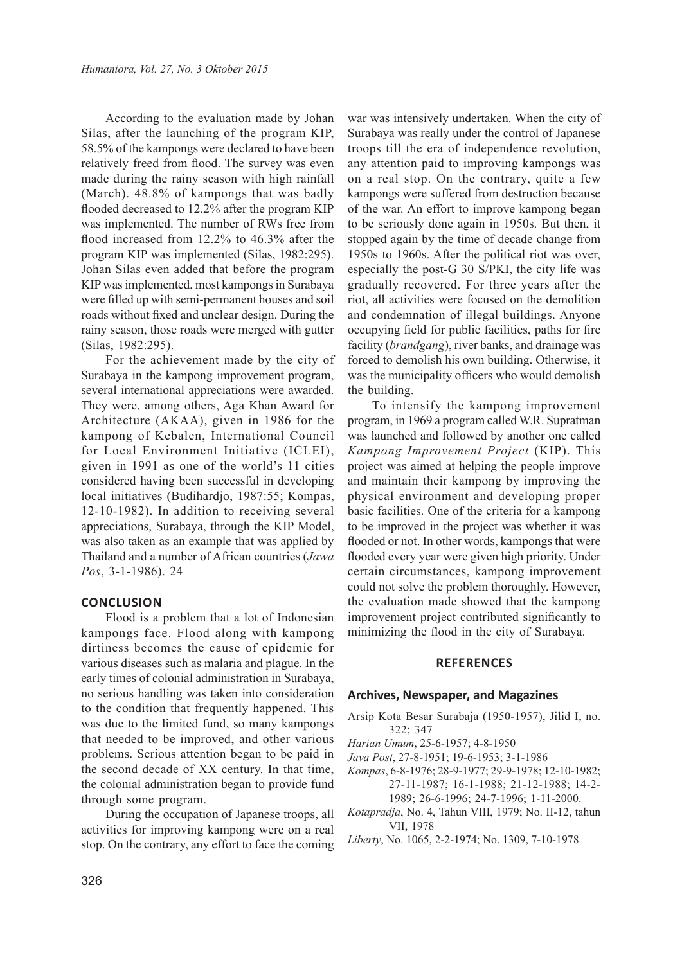According to the evaluation made by Johan Silas, after the launching of the program KIP, 58.5% of the kampongs were declared to have been relatively freed from flood. The survey was even made during the rainy season with high rainfall (March). 48.8% of kampongs that was badly flooded decreased to 12.2% after the program KIP was implemented. The number of RWs free from flood increased from 12.2% to 46.3% after the program KIP was implemented (Silas, 1982:295). Johan Silas even added that before the program KIP was implemented, most kampongs in Surabaya were filled up with semi-permanent houses and soil roads without fixed and unclear design. During the rainy season, those roads were merged with gutter (Silas, 1982:295).

For the achievement made by the city of Surabaya in the kampong improvement program, several international appreciations were awarded. They were, among others, Aga Khan Award for Architecture (AKAA), given in 1986 for the kampong of Kebalen, International Council for Local Environment Initiative (ICLEI), given in 1991 as one of the world's 11 cities considered having been successful in developing local initiatives (Budihardjo, 1987:55; Kompas, 12-10-1982). In addition to receiving several appreciations, Surabaya, through the KIP Model, was also taken as an example that was applied by Thailand and a number of African countries (*Jawa Pos*, 3-1-1986). 24

#### **CONCLUSION**

Flood is a problem that a lot of Indonesian kampongs face. Flood along with kampong dirtiness becomes the cause of epidemic for various diseases such as malaria and plague. In the early times of colonial administration in Surabaya, no serious handling was taken into consideration to the condition that frequently happened. This was due to the limited fund, so many kampongs that needed to be improved, and other various problems. Serious attention began to be paid in the second decade of XX century. In that time, the colonial administration began to provide fund through some program.

During the occupation of Japanese troops, all activities for improving kampong were on a real stop. On the contrary, any effort to face the coming war was intensively undertaken. When the city of Surabaya was really under the control of Japanese troops till the era of independence revolution, any attention paid to improving kampongs was on a real stop. On the contrary, quite a few kampongs were suffered from destruction because of the war. An effort to improve kampong began to be seriously done again in 1950s. But then, it stopped again by the time of decade change from 1950s to 1960s. After the political riot was over, especially the post-G 30 S/PKI, the city life was gradually recovered. For three years after the riot, all activities were focused on the demolition and condemnation of illegal buildings. Anyone occupying field for public facilities, paths for fire facility (*brandgang*), river banks, and drainage was forced to demolish his own building. Otherwise, it was the municipality officers who would demolish the building.

To intensify the kampong improvement program, in 1969 a program called W.R. Supratman was launched and followed by another one called *Kampong Improvement Project* (KIP). This project was aimed at helping the people improve and maintain their kampong by improving the physical environment and developing proper basic facilities. One of the criteria for a kampong to be improved in the project was whether it was flooded or not. In other words, kampongs that were flooded every year were given high priority. Under certain circumstances, kampong improvement could not solve the problem thoroughly. However, the evaluation made showed that the kampong improvement project contributed significantly to minimizing the flood in the city of Surabaya.

### **REFERENCES**

#### **Archives, Newspaper, and Magazines**

- Arsip Kota Besar Surabaja (1950-1957), Jilid I, no. 322; 347
- *Harian Umum*, 25-6-1957; 4-8-1950
- *Java Post*, 27-8-1951; 19-6-1953; 3-1-1986
- *Kompas*, 6-8-1976; 28-9-1977; 29-9-1978; 12-10-1982; 27-11-1987; 16-1-1988; 21-12-1988; 14-2- 1989; 26-6-1996; 24-7-1996; 1-11-2000.
- *Kotapradja*, No. 4, Tahun VIII, 1979; No. II-12, tahun VII, 1978
- *Liberty*, No. 1065, 2-2-1974; No. 1309, 7-10-1978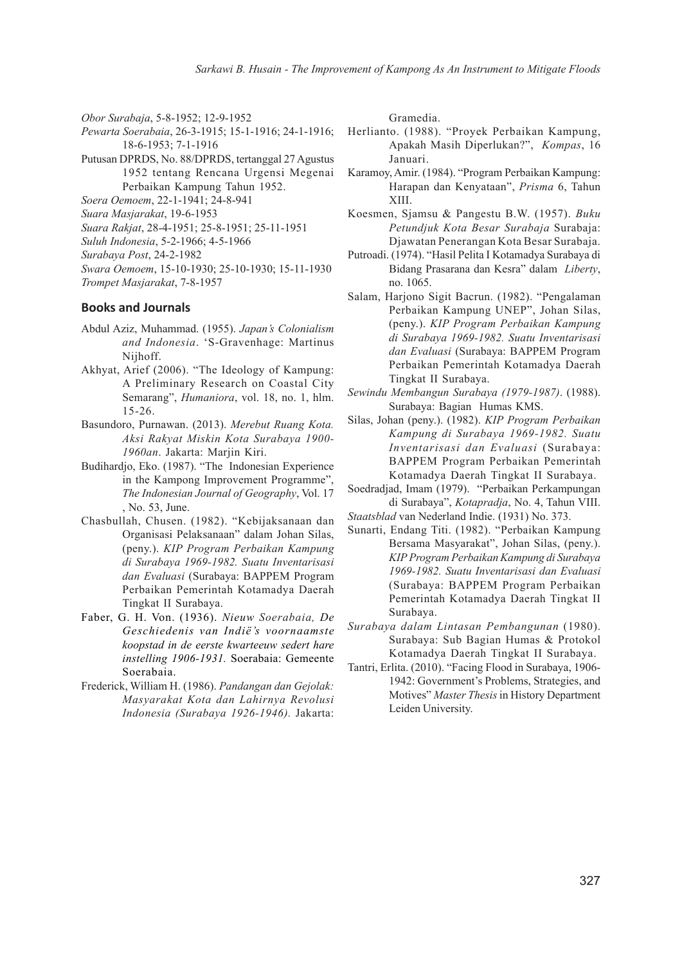*Obor Surabaja*, 5-8-1952; 12-9-1952

- *Pewarta Soerabaia*, 26-3-1915; 15-1-1916; 24-1-1916; 18-6-1953; 7-1-1916
- Putusan DPRDS, No. 88/DPRDS, tertanggal 27 Agustus 1952 tentang Rencana Urgensi Megenai Perbaikan Kampung Tahun 1952.
- *Soera Oemoem*, 22-1-1941; 24-8-941
- *Suara Masjarakat*, 19-6-1953
- *Suara Rakjat*, 28-4-1951; 25-8-1951; 25-11-1951
- *Suluh Indonesia*, 5-2-1966; 4-5-1966
- *Surabaya Post*, 24-2-1982
- *Swara Oemoem*, 15-10-1930; 25-10-1930; 15-11-1930 *Trompet Masjarakat*, 7-8-1957

#### **Books and Journals**

- Abdul Aziz, Muhammad. (1955). *Japan's Colonialism and Indonesia*. 'S-Gravenhage: Martinus Nijhoff.
- Akhyat, Arief (2006). "The Ideology of Kampung: A Preliminary Research on Coastal City Semarang", *Humaniora*, vol. 18, no. 1, hlm. 15-26.
- Basundoro, Purnawan. (2013). *Merebut Ruang Kota. Aksi Rakyat Miskin Kota Surabaya 1900- 1960an*. Jakarta: Marjin Kiri.
- Budihardjo, Eko. (1987). "The Indonesian Experience in the Kampong Improvement Programme", *The Indonesian Journal of Geography*, Vol. 17 , No. 53, June.
- Chasbullah, Chusen. (1982). "Kebijaksanaan dan Organisasi Pelaksanaan" dalam Johan Silas, (peny.). *KIP Program Perbaikan Kampung di Surabaya 1969-1982. Suatu Inventarisasi dan Evaluasi* (Surabaya: BAPPEM Program Perbaikan Pemerintah Kotamadya Daerah Tingkat II Surabaya.
- Faber, G. H. Von. (1936). *Nieuw Soerabaia, De Geschiedenis van Indiё's voornaamste koopstad in de eerste kwarteeuw sedert hare instelling 1906-1931.* Soerabaia: Gemeente Soerabaia.
- Frederick, William H. (1986). *Pandangan dan Gejolak: Masyarakat Kota dan Lahirnya Revolusi Indonesia (Surabaya 1926-1946).* Jakarta:

Gramedia.

- Herlianto. (1988). "Proyek Perbaikan Kampung, Apakah Masih Diperlukan?", *Kompas*, 16 Januari.
- Karamoy, Amir. (1984). "Program Perbaikan Kampung: Harapan dan Kenyataan", *Prisma* 6, Tahun XIII.
- Koesmen, Sjamsu & Pangestu B.W. (1957). *Buku Petundjuk Kota Besar Surabaja* Surabaja: Djawatan Penerangan Kota Besar Surabaja.
- Putroadi. (1974). "Hasil Pelita I Kotamadya Surabaya di Bidang Prasarana dan Kesra" dalam *Liberty*, no. 1065.
- Salam, Harjono Sigit Bacrun. (1982). "Pengalaman Perbaikan Kampung UNEP", Johan Silas, (peny.). *KIP Program Perbaikan Kampung di Surabaya 1969-1982. Suatu Inventarisasi dan Evaluasi* (Surabaya: BAPPEM Program Perbaikan Pemerintah Kotamadya Daerah Tingkat II Surabaya.
- *Sewindu Membangun Surabaya (1979-1987)*. (1988). Surabaya: Bagian Humas KMS.
- Silas, Johan (peny.). (1982). *KIP Program Perbaikan Kampung di Surabaya 1969-1982. Suatu Inventarisasi dan Evaluasi* (Surabaya: BAPPEM Program Perbaikan Pemerintah Kotamadya Daerah Tingkat II Surabaya.
- Soedradjad, Imam (1979). "Perbaikan Perkampungan di Surabaya", *Kotapradja*, No. 4, Tahun VIII.
- *Staatsblad* van Nederland Indie. (1931) No. 373.
- Sunarti, Endang Titi. (1982). "Perbaikan Kampung Bersama Masyarakat", Johan Silas, (peny.). *KIP Program Perbaikan Kampung di Surabaya 1969-1982. Suatu Inventarisasi dan Evaluasi* (Surabaya: BAPPEM Program Perbaikan Pemerintah Kotamadya Daerah Tingkat II Surabaya.
- *Surabaya dalam Lintasan Pembangunan* (1980). Surabaya: Sub Bagian Humas & Protokol Kotamadya Daerah Tingkat II Surabaya.
- Tantri, Erlita. (2010). "Facing Flood in Surabaya, 1906- 1942: Government's Problems, Strategies, and Motives" *Master Thesis* in History Department Leiden University.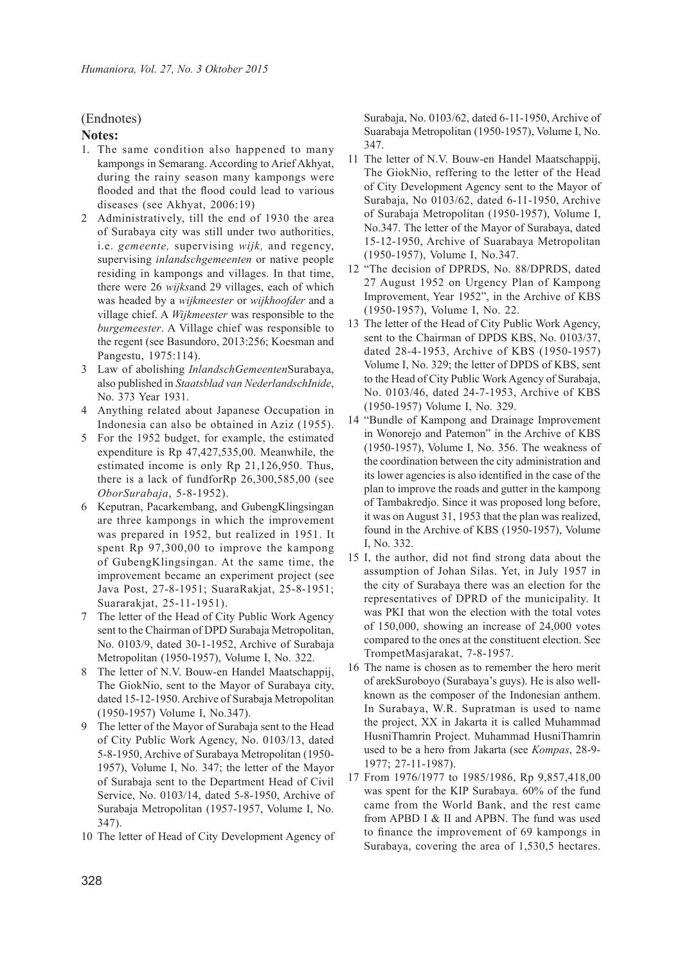## (Endnotes)

## **Notes:**

- 1. The same condition also happened to many kampongs in Semarang. According to Arief Akhyat, during the rainy season many kampongs were flooded and that the flood could lead to various diseases (see Akhyat, 2006:19)
- 2 Administratively, till the end of 1930 the area of Surabaya city was still under two authorities, i.e. *gemeente,* supervising *wijk,* and regency, supervising *inlandschgemeenten* or native people residing in kampongs and villages. In that time, there were 26 *wijks*and 29 villages, each of which was headed by a *wijkmeester* or *wijkhoofder* and a village chief. A *Wijkmeester* was responsible to the *burgemeester*. A Village chief was responsible to the regent (see Basundoro, 2013:256; Koesman and Pangestu, 1975:114).
- 3 Law of abolishing *InlandschGemeenten*Surabaya, also published in *Staatsblad van NederlandschInide*, No. 373 Year 1931.
- 4 Anything related about Japanese Occupation in Indonesia can also be obtained in Aziz (1955).
- 5 For the 1952 budget, for example, the estimated expenditure is Rp 47,427,535,00. Meanwhile, the estimated income is only Rp 21,126,950. Thus, there is a lack of fundforRp 26,300,585,00 (see *OborSurabaja*, 5-8-1952).
- 6 Keputran, Pacarkembang, and GubengKlingsingan are three kampongs in which the improvement was prepared in 1952, but realized in 1951. It spent Rp 97,300,00 to improve the kampong of GubengKlingsingan. At the same time, the improvement became an experiment project (see Java Post, 27-8-1951; SuaraRakjat, 25-8-1951; Suararakjat, 25-11-1951).
- 7 The letter of the Head of City Public Work Agency sent to the Chairman of DPD Surabaja Metropolitan, No. 0103/9, dated 30-1-1952, Archive of Surabaja Metropolitan (1950-1957), Volume I, No. 322.
- 8 The letter of N.V. Bouw-en Handel Maatschappij, The GiokNio, sent to the Mayor of Surabaya city, dated 15-12-1950. Archive of Surabaja Metropolitan (1950-1957) Volume I, No.347).
- 9 The letter of the Mayor of Surabaja sent to the Head of City Public Work Agency, No. 0103/13, dated 5-8-1950, Archive of Surabaya Metropolitan (1950- 1957), Volume I, No. 347; the letter of the Mayor of Surabaja sent to the Department Head of Civil Service, No. 0103/14, dated 5-8-1950, Archive of Surabaja Metropolitan (1957-1957, Volume I, No. 347).
- 10 The letter of Head of City Development Agency of

Surabaja, No. 0103/62, dated 6-11-1950, Archive of Suarabaja Metropolitan (1950-1957), Volume I, No. 347.

- 11 The letter of N.V. Bouw-en Handel Maatschappij, The GiokNio, reffering to the letter of the Head of City Development Agency sent to the Mayor of Surabaja, No 0103/62, dated 6-11-1950, Archive of Surabaja Metropolitan (1950-1957), Volume I, No.347. The letter of the Mayor of Surabaya, dated 15-12-1950, Archive of Suarabaya Metropolitan (1950-1957), Volume I, No.347.
- 12 "The decision of DPRDS, No. 88/DPRDS, dated 27 August 1952 on Urgency Plan of Kampong Improvement, Year 1952", in the Archive of KBS (1950-1957), Volume I, No. 22.
- 13 The letter of the Head of City Public Work Agency, sent to the Chairman of DPDS KBS, No. 0103/37, dated 28-4-1953, Archive of KBS (1950-1957) Volume I, No. 329; the letter of DPDS of KBS, sent to the Head of City Public Work Agency of Surabaja, No. 0103/46, dated 24-7-1953, Archive of KBS (1950-1957) Volume I, No. 329.
- 14 "Bundle of Kampong and Drainage Improvement in Wonorejo and Patemon" in the Archive of KBS (1950-1957), Volume I, No. 356. The weakness of the coordination between the city administration and its lower agencies is also identified in the case of the plan to improve the roads and gutter in the kampong of Tambakredjo. Since it was proposed long before, it was on August 31, 1953 that the plan was realized, found in the Archive of KBS (1950-1957), Volume I, No. 332.
- 15 I, the author, did not find strong data about the assumption of Johan Silas. Yet, in July 1957 in the city of Surabaya there was an election for the representatives of DPRD of the municipality. It was PKI that won the election with the total votes of 150,000, showing an increase of 24,000 votes compared to the ones at the constituent election. See TrompetMasjarakat, 7-8-1957.
- 16 The name is chosen as to remember the hero merit of arekSuroboyo (Surabaya's guys). He is also wellknown as the composer of the Indonesian anthem. In Surabaya, W.R. Supratman is used to name the project, XX in Jakarta it is called Muhammad HusniThamrin Project. Muhammad HusniThamrin used to be a hero from Jakarta (see *Kompas*, 28-9- 1977; 27-11-1987).
- 17 From 1976/1977 to 1985/1986, Rp 9,857,418,00 was spent for the KIP Surabaya. 60% of the fund came from the World Bank, and the rest came from APBD I & II and APBN. The fund was used to finance the improvement of 69 kampongs in Surabaya, covering the area of 1,530,5 hectares.